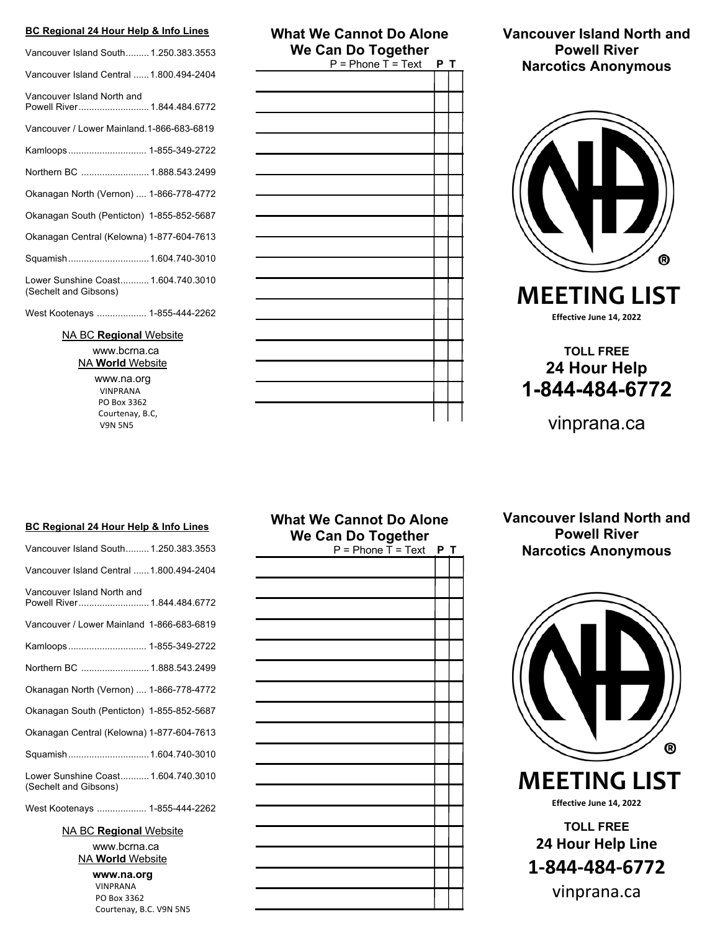### **BC Regional 24 Hour Help & Info Lines**

| Vancouver Island South 1.250.383.3553                        |
|--------------------------------------------------------------|
| Vancouver Island Central  1.800.494-2404                     |
| Vancouver Island North and<br>Powell River 1.844.484.6772    |
| Vancouver / Lower Mainland.1-866-683-6819                    |
| Kamloops 1-855-349-2722                                      |
| Northern BC  1.888.543.2499                                  |
| Okanagan North (Vernon)  1-866-778-4772                      |
| Okanagan South (Penticton) 1-855-852-5687                    |
| Okanagan Central (Kelowna) 1-877-604-7613                    |
| Squamish 1.604.740-3010                                      |
| Lower Sunshine Coast 1.604.740.3010<br>(Sechelt and Gibsons) |
| West Kootenays  1-855-444-2262                               |

NA BC **Regional** Website www.bcrna.ca NA **World** Website

> www.na.org VINPRANA PO Box 3362 Courtenay, B.C, V9N 5N5

# **What We Cannot Do Alone We Can Do Together**<br>**P** = Phone T = Text **P T**

**Vancouver Island North and Powell River Narcotics Anonymous**



 **MEETING LIST Effective June 14, 2022**

# **TOLL FREE 24 Hour Help 1-844-484-6772**

vinprana.ca

#### **BC Regional 24 Hour Help & Info Lines**

| Vancouver Island South 1.250.383.3553                        |
|--------------------------------------------------------------|
| Vancouver Island Central  1.800.494-2404                     |
| Vancouver Island North and<br>Powell River 1.844.484.6772    |
| Vancouver / Lower Mainland 1-866-683-6819                    |
|                                                              |
| Northern BC  1.888.543.2499                                  |
| Okanagan North (Vernon)  1-866-778-4772                      |
| Okanagan South (Penticton) 1-855-852-5687                    |
| Okanagan Central (Kelowna) 1-877-604-7613                    |
| Squamish 1.604.740-3010                                      |
| Lower Sunshine Coast 1.604.740.3010<br>(Sechelt and Gibsons) |
| West Kootenays  1-855-444-2262                               |

NA BC **Regional** Website

www.bcrna.ca NA **World** Website

> **www.na.org** VINPRANA PO Box 3362 Courtenay, B.C. V9N 5N5

### **What We Cannot Do Alone We Can Do Together** $P =$ Phone  $\overline{T} =$  Text  $P$  **T**

**Vancouver Island North and Powell River Narcotics Anonymous**